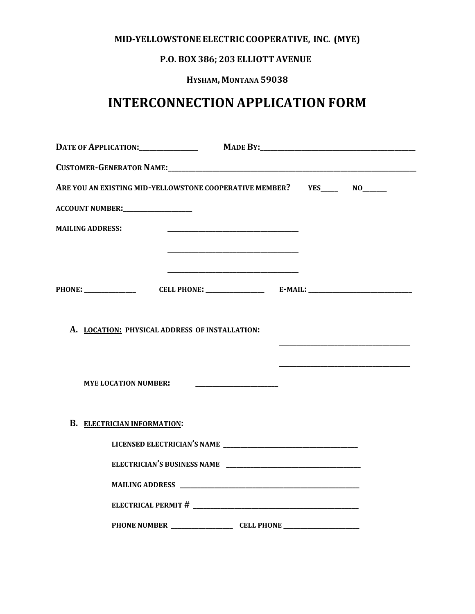# **MID-YELLOWSTONE ELECTRIC COOPERATIVE, INC. (MYE)**

# **P.O. BOX 386; 203 ELLIOTT AVENUE**

# **HYSHAM, MONTANA 59038**

# **INTERCONNECTION APPLICATION FORM**

|                         | ARE YOU AN EXISTING MID-YELLOWSTONE COOPERATIVE MEMBER? YES______ NO______ |                                                                                                                        |                                                             |
|-------------------------|----------------------------------------------------------------------------|------------------------------------------------------------------------------------------------------------------------|-------------------------------------------------------------|
|                         | <b>ACCOUNT NUMBER:__________________</b>                                   |                                                                                                                        |                                                             |
| <b>MAILING ADDRESS:</b> |                                                                            | <u> 1989 - Johann Barn, mars ann an t-Amhain ann an t-Amhain an t-Amhain an t-Amhain an t-Amhain ann an t-Amhain a</u> |                                                             |
|                         |                                                                            | the control of the control of the control of the control of the control of the control of                              |                                                             |
|                         |                                                                            |                                                                                                                        |                                                             |
|                         |                                                                            |                                                                                                                        |                                                             |
|                         |                                                                            |                                                                                                                        |                                                             |
|                         | A. LOCATION: PHYSICAL ADDRESS OF INSTALLATION:                             |                                                                                                                        |                                                             |
|                         |                                                                            |                                                                                                                        | <u> 1980 - Johann Barbara, martxa al III-lea (h. 1980).</u> |
|                         | <b>MYE LOCATION NUMBER:</b>                                                |                                                                                                                        |                                                             |
|                         |                                                                            |                                                                                                                        |                                                             |
|                         | <b>B. ELECTRICIAN INFORMATION:</b>                                         |                                                                                                                        |                                                             |
|                         |                                                                            |                                                                                                                        |                                                             |
|                         |                                                                            |                                                                                                                        |                                                             |
|                         |                                                                            |                                                                                                                        |                                                             |
|                         |                                                                            |                                                                                                                        |                                                             |
|                         |                                                                            |                                                                                                                        |                                                             |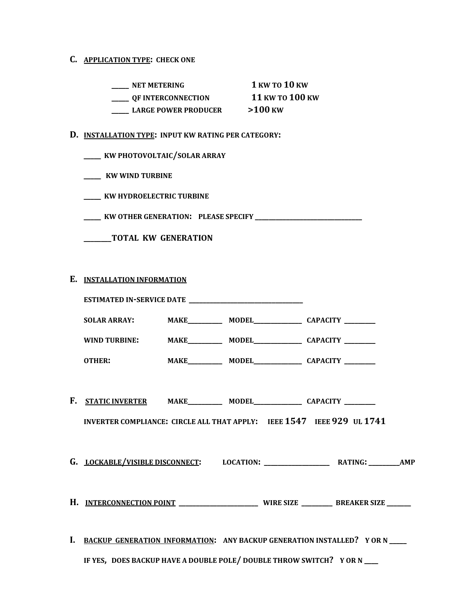## **C. APPLICATION TYPE: CHECK ONE**

| <b>NET METERING</b>         | 1 KW TO 10 KW   |
|-----------------------------|-----------------|
| OF INTERCONNECTION          | 11 KW TO 100 KW |
| <b>LARGE POWER PRODUCER</b> | $>100$ KW       |

#### **D. INSTALLATION TYPE: INPUT KW RATING PER CATEGORY:**

**\_\_\_\_\_ KW WIND TURBINE**

**\_\_\_\_\_ KW HYDROELECTRIC TURBINE**

**\_\_\_\_\_ KW OTHER GENERATION: PLEASE SPECIFY \_\_\_\_\_\_\_\_\_\_\_\_\_\_\_\_\_\_\_\_\_\_\_\_\_\_\_\_\_\_\_**

**\_\_\_\_\_\_\_\_TOTAL KW GENERATION**

## **E. INSTALLATION INFORMATION**

| WIND TURBINE: MAKE__________ MODEL_____________ CAPACITY ________    |  |  |                                                                              |  |  |
|----------------------------------------------------------------------|--|--|------------------------------------------------------------------------------|--|--|
| OTHER: MAKE__________ MODEL______________ CAPACITY _________         |  |  |                                                                              |  |  |
|                                                                      |  |  |                                                                              |  |  |
| F. <u>static inverter</u> make_______ model_________ capacity ______ |  |  |                                                                              |  |  |
|                                                                      |  |  | INVERTER COMPLIANCE: CIRCLE ALL THAT APPLY: IEEE 1547 IEEE 929 UL 1741       |  |  |
|                                                                      |  |  |                                                                              |  |  |
|                                                                      |  |  |                                                                              |  |  |
|                                                                      |  |  |                                                                              |  |  |
|                                                                      |  |  |                                                                              |  |  |
|                                                                      |  |  |                                                                              |  |  |
|                                                                      |  |  | I. BACKUP GENERATION INFORMATION: ANY BACKUP GENERATION INSTALLED? YOR N____ |  |  |
| IF YES, DOES BACKUP HAVE A DOUBLE POLE/DOUBLE THROW SWITCH? YOR N    |  |  |                                                                              |  |  |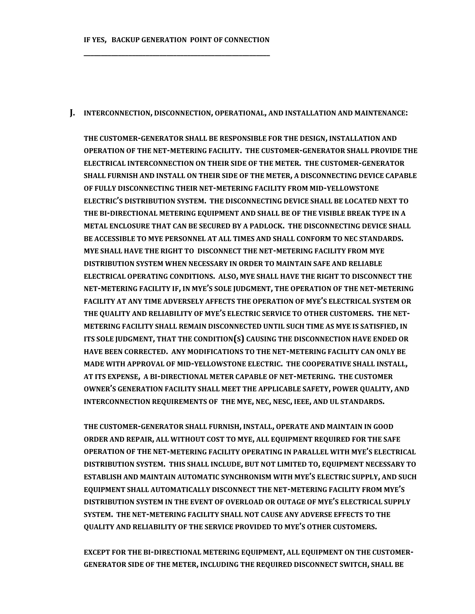**IF YES, BACKUP GENERATION POINT OF CONNECTION \_\_\_\_\_\_\_\_\_\_\_\_\_\_\_\_\_\_\_\_\_\_\_\_\_\_\_\_\_\_\_\_\_\_\_\_\_\_\_\_\_\_\_\_\_\_\_\_\_\_\_\_\_\_**

#### **J. INTERCONNECTION, DISCONNECTION, OPERATIONAL, AND INSTALLATION AND MAINTENANCE:**

**THE CUSTOMER-GENERATOR SHALL BE RESPONSIBLE FOR THE DESIGN, INSTALLATION AND OPERATION OF THE NET-METERING FACILITY. THE CUSTOMER-GENERATOR SHALL PROVIDE THE ELECTRICAL INTERCONNECTION ON THEIR SIDE OF THE METER. THE CUSTOMER-GENERATOR SHALL FURNISH AND INSTALL ON THEIR SIDE OF THE METER, A DISCONNECTING DEVICE CAPABLE OF FULLY DISCONNECTING THEIR NET-METERING FACILITY FROM MID-YELLOWSTONE ELECTRIC'S DISTRIBUTION SYSTEM. THE DISCONNECTING DEVICE SHALL BE LOCATED NEXT TO THE BI-DIRECTIONAL METERING EQUIPMENT AND SHALL BE OF THE VISIBLE BREAK TYPE IN A METAL ENCLOSURE THAT CAN BE SECURED BY A PADLOCK. THE DISCONNECTING DEVICE SHALL BE ACCESSIBLE TO MYE PERSONNEL AT ALL TIMES AND SHALL CONFORM TO NEC STANDARDS. MYE SHALL HAVE THE RIGHT TO DISCONNECT THE NET-METERING FACILITY FROM MYE DISTRIBUTION SYSTEM WHEN NECESSARY IN ORDER TO MAINTAIN SAFE AND RELIABLE ELECTRICAL OPERATING CONDITIONS. ALSO, MYE SHALL HAVE THE RIGHT TO DISCONNECT THE NET-METERING FACILITY IF, IN MYE'S SOLE JUDGMENT, THE OPERATION OF THE NET-METERING FACILITY AT ANY TIME ADVERSELY AFFECTS THE OPERATION OF MYE'S ELECTRICAL SYSTEM OR THE QUALITY AND RELIABILITY OF MYE'S ELECTRIC SERVICE TO OTHER CUSTOMERS. THE NET-METERING FACILITY SHALL REMAIN DISCONNECTED UNTIL SUCH TIME AS MYE IS SATISFIED, IN ITS SOLE JUDGMENT, THAT THE CONDITION(S) CAUSING THE DISCONNECTION HAVE ENDED OR HAVE BEEN CORRECTED. ANY MODIFICATIONS TO THE NET-METERING FACILITY CAN ONLY BE MADE WITH APPROVAL OF MID-YELLOWSTONE ELECTRIC. THE COOPERATIVE SHALL INSTALL, AT ITS EXPENSE, A BI-DIRECTIONAL METER CAPABLE OF NET-METERING. THE CUSTOMER OWNER'S GENERATION FACILITY SHALL MEET THE APPLICABLE SAFETY, POWER QUALITY, AND INTERCONNECTION REQUIREMENTS OF THE MYE, NEC, NESC, IEEE, AND UL STANDARDS.** 

**THE CUSTOMER-GENERATOR SHALL FURNISH, INSTALL, OPERATE AND MAINTAIN IN GOOD ORDER AND REPAIR, ALL WITHOUT COST TO MYE, ALL EQUIPMENT REQUIRED FOR THE SAFE OPERATION OF THE NET-METERING FACILITY OPERATING IN PARALLEL WITH MYE'S ELECTRICAL DISTRIBUTION SYSTEM. THIS SHALL INCLUDE, BUT NOT LIMITED TO, EQUIPMENT NECESSARY TO ESTABLISH AND MAINTAIN AUTOMATIC SYNCHRONISM WITH MYE'S ELECTRIC SUPPLY, AND SUCH EQUIPMENT SHALL AUTOMATICALLY DISCONNECT THE NET-METERING FACILITY FROM MYE'S DISTRIBUTION SYSTEM IN THE EVENT OF OVERLOAD OR OUTAGE OF MYE'S ELECTRICAL SUPPLY SYSTEM. THE NET-METERING FACILITY SHALL NOT CAUSE ANY ADVERSE EFFECTS TO THE QUALITY AND RELIABILITY OF THE SERVICE PROVIDED TO MYE'S OTHER CUSTOMERS.**

**EXCEPT FOR THE BI-DIRECTIONAL METERING EQUIPMENT, ALL EQUIPMENT ON THE CUSTOMER-GENERATOR SIDE OF THE METER, INCLUDING THE REQUIRED DISCONNECT SWITCH, SHALL BE**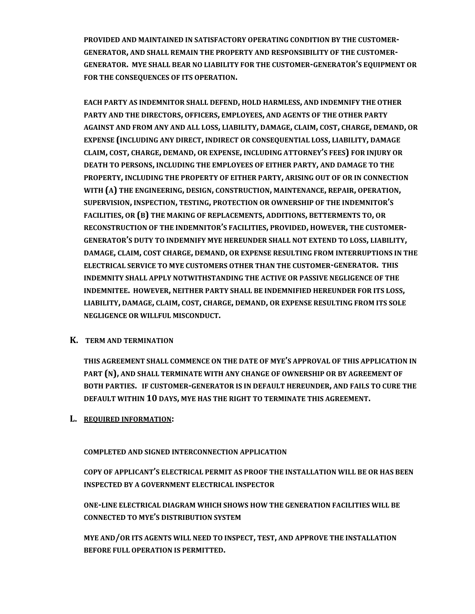**PROVIDED AND MAINTAINED IN SATISFACTORY OPERATING CONDITION BY THE CUSTOMER-GENERATOR, AND SHALL REMAIN THE PROPERTY AND RESPONSIBILITY OF THE CUSTOMER-GENERATOR. MYE SHALL BEAR NO LIABILITY FOR THE CUSTOMER-GENERATOR'S EQUIPMENT OR FOR THE CONSEQUENCES OF ITS OPERATION.**

**EACH PARTY AS INDEMNITOR SHALL DEFEND, HOLD HARMLESS, AND INDEMNIFY THE OTHER PARTY AND THE DIRECTORS, OFFICERS, EMPLOYEES, AND AGENTS OF THE OTHER PARTY AGAINST AND FROM ANY AND ALL LOSS, LIABILITY, DAMAGE, CLAIM, COST, CHARGE, DEMAND, OR EXPENSE (INCLUDING ANY DIRECT, INDIRECT OR CONSEQUENTIAL LOSS, LIABILITY, DAMAGE CLAIM, COST, CHARGE, DEMAND, OR EXPENSE, INCLUDING ATTORNEY'S FEES) FOR INJURY OR DEATH TO PERSONS, INCLUDING THE EMPLOYEES OF EITHER PARTY, AND DAMAGE TO THE PROPERTY, INCLUDING THE PROPERTY OF EITHER PARTY, ARISING OUT OF OR IN CONNECTION WITH (A) THE ENGINEERING, DESIGN, CONSTRUCTION, MAINTENANCE, REPAIR, OPERATION, SUPERVISION, INSPECTION, TESTING, PROTECTION OR OWNERSHIP OF THE INDEMNITOR'S FACILITIES, OR (B) THE MAKING OF REPLACEMENTS, ADDITIONS, BETTERMENTS TO, OR RECONSTRUCTION OF THE INDEMNITOR'S FACILITIES, PROVIDED, HOWEVER, THE CUSTOMER-GENERATOR'S DUTY TO INDEMNIFY MYE HEREUNDER SHALL NOT EXTEND TO LOSS, LIABILITY, DAMAGE, CLAIM, COST CHARGE, DEMAND, OR EXPENSE RESULTING FROM INTERRUPTIONS IN THE ELECTRICAL SERVICE TO MYE CUSTOMERS OTHER THAN THE CUSTOMER-GENERATOR. THIS INDEMNITY SHALL APPLY NOTWITHSTANDING THE ACTIVE OR PASSIVE NEGLIGENCE OF THE INDEMNITEE. HOWEVER, NEITHER PARTY SHALL BE INDEMNIFIED HEREUNDER FOR ITS LOSS, LIABILITY, DAMAGE, CLAIM, COST, CHARGE, DEMAND, OR EXPENSE RESULTING FROM ITS SOLE NEGLIGENCE OR WILLFUL MISCONDUCT.**

# **K. TERM AND TERMINATION**

**THIS AGREEMENT SHALL COMMENCE ON THE DATE OF MYE'S APPROVAL OF THIS APPLICATION IN PART (N), AND SHALL TERMINATE WITH ANY CHANGE OF OWNERSHIP OR BY AGREEMENT OF BOTH PARTIES. IF CUSTOMER-GENERATOR IS IN DEFAULT HEREUNDER, AND FAILS TO CURE THE DEFAULT WITHIN 10 DAYS, MYE HAS THE RIGHT TO TERMINATE THIS AGREEMENT.** 

# **L. REQUIRED INFORMATION:**

## **COMPLETED AND SIGNED INTERCONNECTION APPLICATION**

**COPY OF APPLICANT'S ELECTRICAL PERMIT AS PROOF THE INSTALLATION WILL BE OR HAS BEEN INSPECTED BY A GOVERNMENT ELECTRICAL INSPECTOR**

**ONE-LINE ELECTRICAL DIAGRAM WHICH SHOWS HOW THE GENERATION FACILITIES WILL BE CONNECTED TO MYE'S DISTRIBUTION SYSTEM**

**MYE AND/OR ITS AGENTS WILL NEED TO INSPECT, TEST, AND APPROVE THE INSTALLATION BEFORE FULL OPERATION IS PERMITTED.**